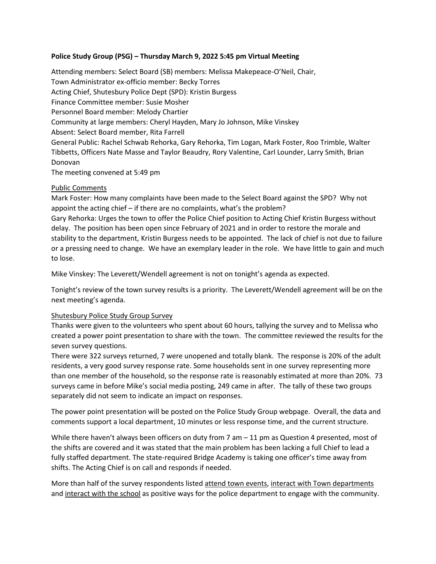## **Police Study Group (PSG) – Thursday March 9, 2022 5:45 pm Virtual Meeting**

Attending members: Select Board (SB) members: Melissa Makepeace-O'Neil, Chair, Town Administrator ex-officio member: Becky Torres Acting Chief, Shutesbury Police Dept (SPD): Kristin Burgess Finance Committee member: Susie Mosher Personnel Board member: Melody Chartier Community at large members: Cheryl Hayden, Mary Jo Johnson, Mike Vinskey Absent: Select Board member, Rita Farrell General Public: Rachel Schwab Rehorka, Gary Rehorka, Tim Logan, Mark Foster, Roo Trimble, Walter Tibbetts, Officers Nate Masse and Taylor Beaudry, Rory Valentine, Carl Lounder, Larry Smith, Brian Donovan The meeting convened at 5:49 pm

# Public Comments

Mark Foster: How many complaints have been made to the Select Board against the SPD? Why not appoint the acting chief – if there are no complaints, what's the problem?

Gary Rehorka: Urges the town to offer the Police Chief position to Acting Chief Kristin Burgess without delay. The position has been open since February of 2021 and in order to restore the morale and stability to the department, Kristin Burgess needs to be appointed. The lack of chief is not due to failure or a pressing need to change. We have an exemplary leader in the role. We have little to gain and much to lose.

Mike Vinskey: The Leverett/Wendell agreement is not on tonight's agenda as expected.

Tonight's review of the town survey results is a priority. The Leverett/Wendell agreement will be on the next meeting's agenda.

## Shutesbury Police Study Group Survey

Thanks were given to the volunteers who spent about 60 hours, tallying the survey and to Melissa who created a power point presentation to share with the town. The committee reviewed the results for the seven survey questions.

There were 322 surveys returned, 7 were unopened and totally blank. The response is 20% of the adult residents, a very good survey response rate. Some households sent in one survey representing more than one member of the household, so the response rate is reasonably estimated at more than 20%. 73 surveys came in before Mike's social media posting, 249 came in after. The tally of these two groups separately did not seem to indicate an impact on responses.

The power point presentation will be posted on the Police Study Group webpage. Overall, the data and comments support a local department, 10 minutes or less response time, and the current structure.

While there haven't always been officers on duty from 7 am  $-$  11 pm as Question 4 presented, most of the shifts are covered and it was stated that the main problem has been lacking a full Chief to lead a fully staffed department. The state-required Bridge Academy is taking one officer's time away from shifts. The Acting Chief is on call and responds if needed.

More than half of the survey respondents listed attend town events, interact with Town departments and interact with the school as positive ways for the police department to engage with the community.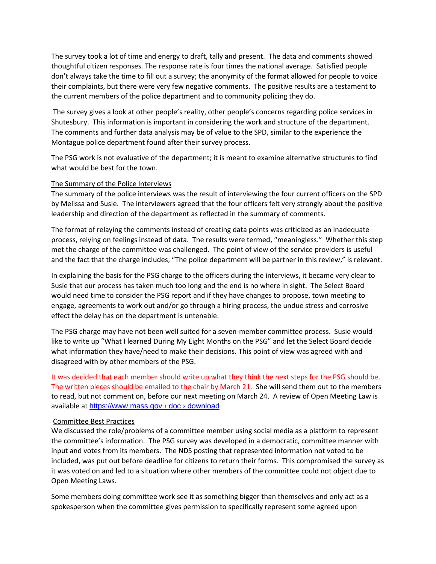The survey took a lot of time and energy to draft, tally and present. The data and comments showed thoughtful citizen responses. The response rate is four times the national average. Satisfied people don't always take the time to fill out a survey; the anonymity of the format allowed for people to voice their complaints, but there were very few negative comments. The positive results are a testament to the current members of the police department and to community policing they do.

The survey gives a look at other people's reality, other people's concerns regarding police services in Shutesbury. This information is important in considering the work and structure of the department. The comments and further data analysis may be of value to the SPD, similar to the experience the Montague police department found after their survey process.

The PSG work is not evaluative of the department; it is meant to examine alternative structures to find what would be best for the town.

### The Summary of the Police Interviews

The summary of the police interviews was the result of interviewing the four current officers on the SPD by Melissa and Susie. The interviewers agreed that the four officers felt very strongly about the positive leadership and direction of the department as reflected in the summary of comments.

The format of relaying the comments instead of creating data points was criticized as an inadequate process, relying on feelings instead of data. The results were termed, "meaningless." Whether this step met the charge of the committee was challenged. The point of view of the service providers is useful and the fact that the charge includes, "The police department will be partner in this review," is relevant.

In explaining the basis for the PSG charge to the officers during the interviews, it became very clear to Susie that our process has taken much too long and the end is no where in sight. The Select Board would need time to consider the PSG report and if they have changes to propose, town meeting to engage, agreements to work out and/or go through a hiring process, the undue stress and corrosive effect the delay has on the department is untenable.

The PSG charge may have not been well suited for a seven-member committee process. Susie would like to write up "What I learned During My Eight Months on the PSG" and let the Select Board decide what information they have/need to make their decisions. This point of view was agreed with and disagreed with by other members of the PSG.

It was decided that each member should write up what they think the next steps for the PSG should be. The written pieces should be emailed to the chair by March 21. She will send them out to the members to read, but not comment on, before our next meeting on March 24. A review of Open Meeting Law is available at https://www.mass.gov > doc > download

### Committee Best Practices

We discussed the role/problems of a committee member using social media as a platform to represent the committee's information. The PSG survey was developed in a democratic, committee manner with input and votes from its members. The NDS posting that represented information not voted to be included, was put out before deadline for citizens to return their forms. This compromised the survey as it was voted on and led to a situation where other members of the committee could not object due to Open Meeting Laws.

Some members doing committee work see it as something bigger than themselves and only act as a spokesperson when the committee gives permission to specifically represent some agreed upon